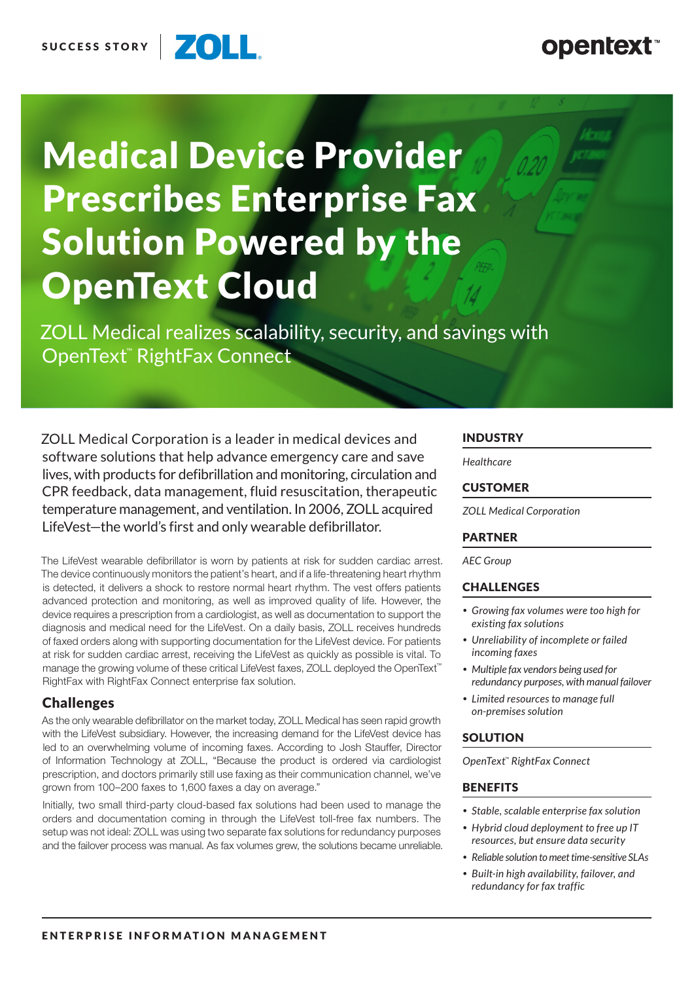#### **ZOLL** SUCCESS STORY

# **opentext**

# Medical Device Provider Prescribes Enterprise Fax Solution Powered by the OpenText Cloud

ZOLL Medical realizes scalability, security, and savings with OpenText™ RightFax Connect

ZOLL Medical Corporation is a leader in medical devices and software solutions that help advance emergency care and save lives, with products for defibrillation and monitoring, circulation and CPR feedback, data management, fluid resuscitation, therapeutic temperature management, and ventilation. In 2006, ZOLL acquired LifeVest—the world's first and only wearable defibrillator.

The LifeVest wearable defibrillator is worn by patients at risk for sudden cardiac arrest. The device continuously monitors the patient's heart, and if a life-threatening heart rhythm is detected, it delivers a shock to restore normal heart rhythm. The vest offers patients advanced protection and monitoring, as well as improved quality of life. However, the device requires a prescription from a cardiologist, as well as documentation to support the diagnosis and medical need for the LifeVest. On a daily basis, ZOLL receives hundreds of faxed orders along with supporting documentation for the LifeVest device. For patients at risk for sudden cardiac arrest, receiving the LifeVest as quickly as possible is vital. To manage the growing volume of these critical LifeVest faxes, ZOLL deployed the OpenText™ RightFax with RightFax Connect enterprise fax solution.

### **Challenges**

As the only wearable defibrillator on the market today, ZOLL Medical has seen rapid growth with the LifeVest subsidiary. However, the increasing demand for the LifeVest device has led to an overwhelming volume of incoming faxes. According to Josh Stauffer, Director of Information Technology at ZOLL, "Because the product is ordered via cardiologist prescription, and doctors primarily still use faxing as their communication channel, we've grown from 100–200 faxes to 1,600 faxes a day on average."

Initially, two small third-party cloud-based fax solutions had been used to manage the orders and documentation coming in through the LifeVest toll-free fax numbers. The setup was not ideal: ZOLL was using two separate fax solutions for redundancy purposes and the failover process was manual. As fax volumes grew, the solutions became unreliable.

#### INDUSTRY

*Healthcare*

#### CUSTOMER

*ZOLL Medical Corporation*

#### PARTNER

*AEC Group*

#### **CHALLENGES**

- *• Growing fax volumes were too high for existing fax solutions*
- *• Unreliability of incomplete or failed incoming faxes*
- *• Multiple fax vendors being used for redundancy purposes, with manual failover*
- *• Limited resources to manage full on-premises solution*

#### **SOLUTION**

*OpenText™ RightFax Connect*

#### **BENEFITS**

- *• Stable, scalable enterprise fax solution*
- *• Hybrid cloud deployment to free up IT resources, but ensure data security*
- *• Reliable solution to meet time-sensitive SLAs*
- *• Built-in high availability, failover, and redundancy for fax traffic*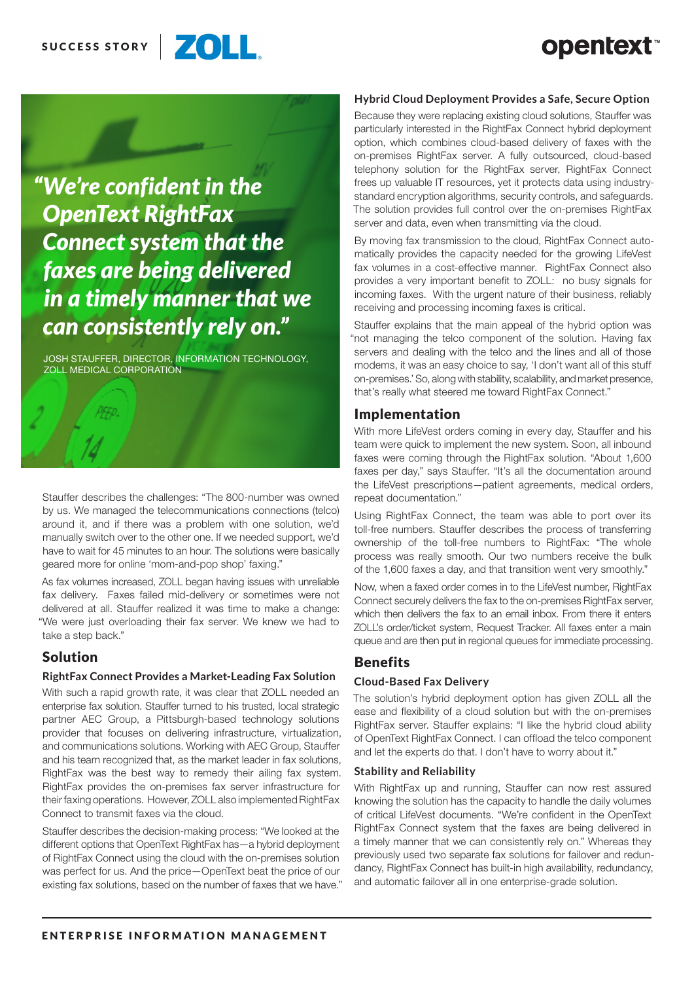



JOSH STAUFFER, DIRECTOR, INFORMATION TECHNOLOGY, ZOLL MEDICAL CORPORATION

Stauffer describes the challenges: "The 800-number was owned by us. We managed the telecommunications connections (telco) around it, and if there was a problem with one solution, we'd manually switch over to the other one. If we needed support, we'd have to wait for 45 minutes to an hour. The solutions were basically geared more for online 'mom-and-pop shop' faxing."

As fax volumes increased, ZOLL began having issues with unreliable fax delivery. Faxes failed mid-delivery or sometimes were not delivered at all. Stauffer realized it was time to make a change: "We were just overloading their fax server. We knew we had to take a step back."

### Solution

#### **RightFax Connect Provides a Market-Leading Fax Solution**

With such a rapid growth rate, it was clear that ZOLL needed an enterprise fax solution. Stauffer turned to his trusted, local strategic partner AEC Group, a Pittsburgh-based technology solutions provider that focuses on delivering infrastructure, virtualization, and communications solutions. Working with AEC Group, Stauffer and his team recognized that, as the market leader in fax solutions, RightFax was the best way to remedy their ailing fax system. RightFax provides the on-premises fax server infrastructure for their faxing operations. However, ZOLL also implemented RightFax Connect to transmit faxes via the cloud.

Stauffer describes the decision-making process: "We looked at the different options that OpenText RightFax has—a hybrid deployment of RightFax Connect using the cloud with the on-premises solution was perfect for us. And the price—OpenText beat the price of our existing fax solutions, based on the number of faxes that we have."

#### **Hybrid Cloud Deployment Provides a Safe, Secure Option**

Because they were replacing existing cloud solutions, Stauffer was particularly interested in the RightFax Connect hybrid deployment option, which combines cloud-based delivery of faxes with the on-premises RightFax server. A fully outsourced, cloud-based telephony solution for the RightFax server, RightFax Connect frees up valuable IT resources, yet it protects data using industrystandard encryption algorithms, security controls, and safeguards. The solution provides full control over the on-premises RightFax server and data, even when transmitting via the cloud.

By moving fax transmission to the cloud, RightFax Connect automatically provides the capacity needed for the growing LifeVest fax volumes in a cost-effective manner. RightFax Connect also provides a very important benefit to ZOLL: no busy signals for incoming faxes. With the urgent nature of their business, reliably receiving and processing incoming faxes is critical.

Stauffer explains that the main appeal of the hybrid option was "not managing the telco component of the solution. Having fax servers and dealing with the telco and the lines and all of those modems, it was an easy choice to say, 'I don't want all of this stuff on-premises.' So, along with stability, scalability, and market presence, that's really what steered me toward RightFax Connect."

#### Implementation

With more LifeVest orders coming in every day, Stauffer and his team were quick to implement the new system. Soon, all inbound faxes were coming through the RightFax solution. "About 1,600 faxes per day," says Stauffer. "It's all the documentation around the LifeVest prescriptions—patient agreements, medical orders, repeat documentation."

Using RightFax Connect, the team was able to port over its toll-free numbers. Stauffer describes the process of transferring ownership of the toll-free numbers to RightFax: "The whole process was really smooth. Our two numbers receive the bulk of the 1,600 faxes a day, and that transition went very smoothly."

Now, when a faxed order comes in to the LifeVest number, RightFax Connect securely delivers the fax to the on-premises RightFax server, which then delivers the fax to an email inbox. From there it enters ZOLL's order/ticket system, Request Tracker. All faxes enter a main queue and are then put in regional queues for immediate processing.

#### Benefits

#### **Cloud-Based Fax Delivery**

The solution's hybrid deployment option has given ZOLL all the ease and flexibility of a cloud solution but with the on-premises RightFax server. Stauffer explains: "I like the hybrid cloud ability of OpenText RightFax Connect. I can offload the telco component and let the experts do that. I don't have to worry about it."

#### **Stability and Reliability**

With RightFax up and running, Stauffer can now rest assured knowing the solution has the capacity to handle the daily volumes of critical LifeVest documents. "We're confident in the OpenText RightFax Connect system that the faxes are being delivered in a timely manner that we can consistently rely on." Whereas they previously used two separate fax solutions for failover and redundancy, RightFax Connect has built-in high availability, redundancy, and automatic failover all in one enterprise-grade solution.